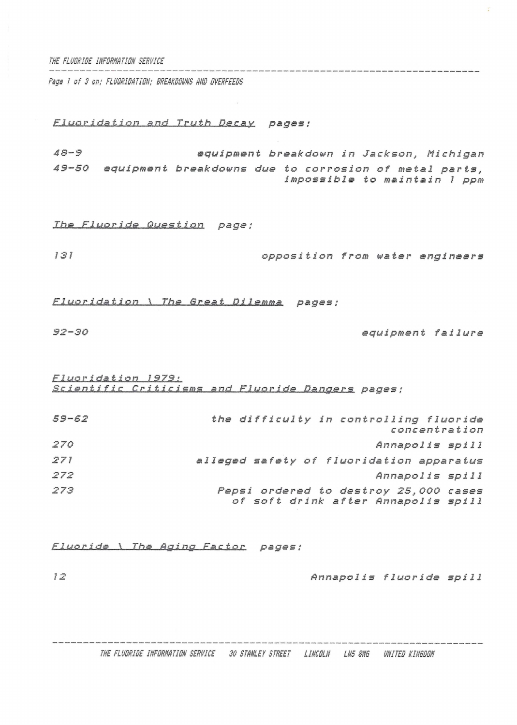*THE FLUORISE IRFORHATION SERVICE*

*Psge <sup>1</sup> of 3 on; FLUORIDATIM; BREAKOOHNS AHO OVERFEEDS*

*Fluoridation and Truth Decay pagas ;*

*48-9 equipment breakdown in Jackson, Michigan 49-50 equipment breakdowns due to corrosion of metal parts, impossible to maintain <sup>1</sup> ppm*

*The Fluoride Question page;* 

*<sup>181</sup> opposition from water engineers*

*FluorIda lion*!\_1\_*The Great Dilemma pages ;*

*92-30 equipment failure*

*Fluoridesign\_\_LSZ^-<sup>l</sup> S.C..i.en.t ifi* <sup>C</sup>\_\_ *Criticisms and Fluoride Dangers pages ;*

| $59 - 62$ | the difficulty in controlling fluoride<br>concentration                      |
|-----------|------------------------------------------------------------------------------|
| 270       | Annapolis spill                                                              |
| 271       | alleged safety of fluoridation apparatus                                     |
| 272       | Annapolis spill                                                              |
| 273       | Pepsi ordered to destroy 25,000 cases<br>of soft drink after Annapolis spill |

*Fluor ide•\_\\_The Aging Factor pages ;*

*<sup>12</sup> Annapolis fluoride spill*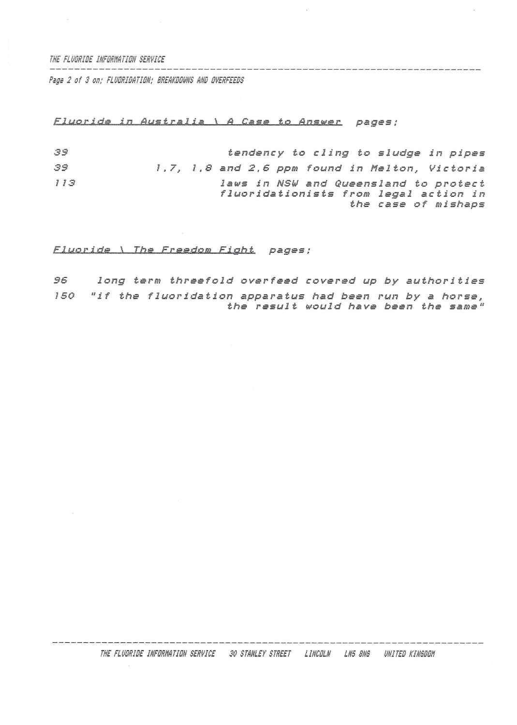*THE FLUORIDE IHFORHRTION SERVICE*

*Page 2 of 3 on; FLUORIDATION; BREAKDOVNS AND OVERFEEDS*

## *F.1 uo ride in Australia \ <sup>A</sup> Case to Answer pages ;*

*33 tendency to cling to sludge in pipes 39 1.7, 1.8 and 2.6 ppm found in Melton, Victoria <sup>1</sup> <sup>13</sup> laws in NSld and Queensland to protect fluoridationists from legal action in the case of mishaps*

*FJj^p-Ľdjde\_\_\\_\_Lbs...JEr*as*do.ffi <sup>F</sup>ighE pages;*

*\$6 long term threefold overfeed covered up by authorities ISO "if the fluoridation apparatus had been run by <sup>a</sup> horse, the result would have been the same"*